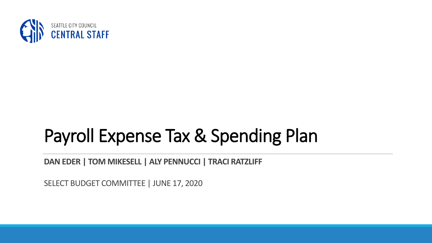

#### Payroll Expense Tax & Spending Plan

**DAN EDER | TOM MIKESELL | ALY PENNUCCI | TRACI RATZLIFF**

SELECT BUDGET COMMITTEE | JUNE 17, 2020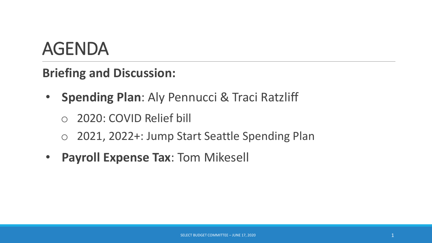#### AGENDA

**Briefing and Discussion:**

- **Spending Plan**: Aly Pennucci & Traci Ratzliff
	- 2020: COVID Relief bill
	- o 2021, 2022+: Jump Start Seattle Spending Plan
- **Payroll Expense Tax**: Tom Mikesell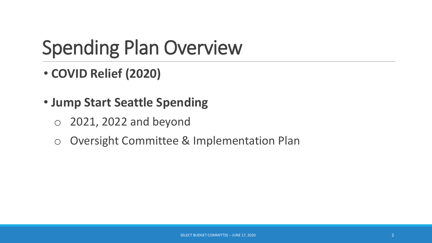### Spending Plan Overview

- **COVID Relief (2020)**
- **Jump Start Seattle Spending**
	- o 2021, 2022 and beyond
	- o Oversight Committee & Implementation Plan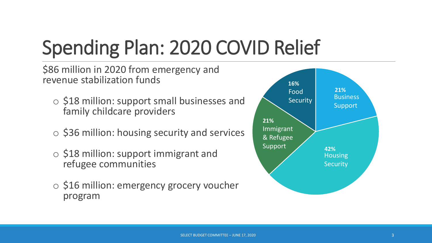# Spending Plan: 2020 COVID Relief

\$86 million in 2020 from emergency and revenue stabilization funds

- o \$18 million: support small businesses and family childcare providers
- o \$36 million: housing security and services
- o \$18 million: support immigrant and refugee communities
- o \$16 million: emergency grocery voucher program

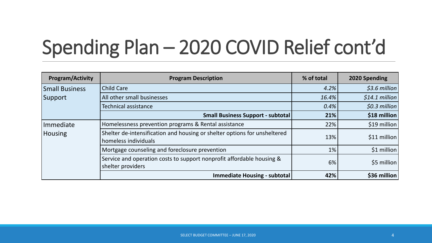## Spending Plan – 2020 COVID Relief cont'd

| <b>Program/Activity</b>          | <b>Program Description</b>                                                                        | % of total | 2020 Spending   |
|----------------------------------|---------------------------------------------------------------------------------------------------|------------|-----------------|
| <b>Small Business</b><br>Support | <b>Child Care</b>                                                                                 | 4.2%       | $$3.6$ million  |
|                                  | All other small businesses                                                                        | 16.4%      | $$14.1$ million |
|                                  | <b>Technical assistance</b>                                                                       | 0.4%       | $$0.3$ million  |
|                                  | <b>Small Business Support - subtotal</b>                                                          | 21%        | \$18 million    |
| Immediate<br><b>Housing</b>      | Homelessness prevention programs & Rental assistance                                              | 22%        | \$19 million    |
|                                  | Shelter de-intensification and housing or shelter options for unsheltered<br>homeless individuals | 13%        | \$11 million    |
|                                  | Mortgage counseling and foreclosure prevention                                                    | 1%         | \$1 million     |
|                                  | Service and operation costs to support nonprofit affordable housing &<br>shelter providers        | 6%         | \$5 million     |
|                                  | <b>Immediate Housing - subtotal</b>                                                               | 42%        | \$36 million    |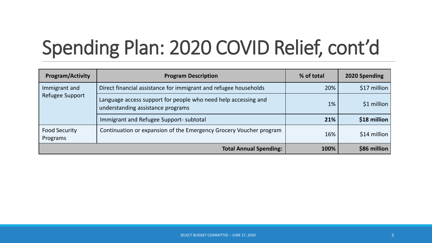# Spending Plan: 2020 COVID Relief, cont'd

| <b>Program/Activity</b>          | <b>Program Description</b>                                                                          | % of total | 2020 Spending |
|----------------------------------|-----------------------------------------------------------------------------------------------------|------------|---------------|
| Immigrant and<br>Refugee Support | Direct financial assistance for immigrant and refugee households                                    | 20%        | $$17$ million |
|                                  | Language access support for people who need help accessing and<br>understanding assistance programs | 1%         | $$1$ million  |
|                                  | Immigrant and Refugee Support- subtotal                                                             | 21%        | $$18$ million |
| Food Security<br>Programs        | Continuation or expansion of the Emergency Grocery Voucher program                                  | 16%        | $$14$ million |
|                                  | <b>Total Annual Spending:</b>                                                                       | 100%       | $$86$ million |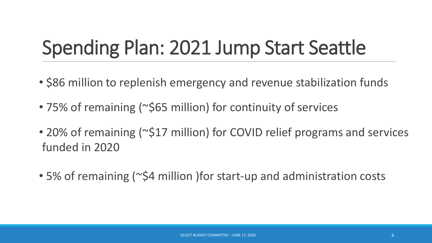#### Spending Plan: 2021 Jump Start Seattle

- \$86 million to replenish emergency and revenue stabilization funds
- 75% of remaining (~\$65 million) for continuity of services
- 20% of remaining (~\$17 million) for COVID relief programs and services funded in 2020
- 5% of remaining (~\$4 million )for start-up and administration costs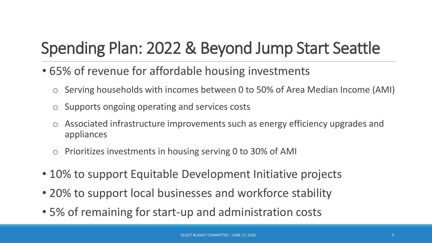#### Spending Plan: 2022 & Beyond Jump Start Seattle

- 65% of revenue for affordable housing investments
	- o Serving households with incomes between 0 to 50% of Area Median Income (AMI) Food
	- o Supports ongoing operating and services costs
	- o Associated infrastructure improvements such as energy efficiency upgrades and appliances
	- o Prioritizes investments in housing serving 0 to 30% of AMI
- 10% to support Equitable Development Initiative projects
- 20% to support local businesses and workforce stability
- 5% of remaining for start-up and administration costs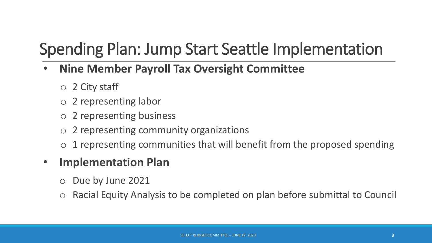#### Spending Plan: Jump Start Seattle Implementation

- **Nine Member Payroll Tax Oversight Committee**
	- $\circ$  2 City staff
	- o 2 representing labor
	- o 2 representing business
	- o 2 representing community organizations
	- $\circ$  1 representing communities that will benefit from the proposed spending

#### • **Implementation Plan**

- o Due by June 2021
- Racial Equity Analysis to be completed on plan before submittal to Council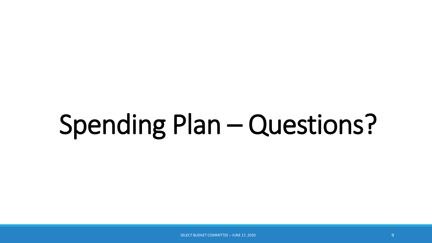# Spending Plan – Questions?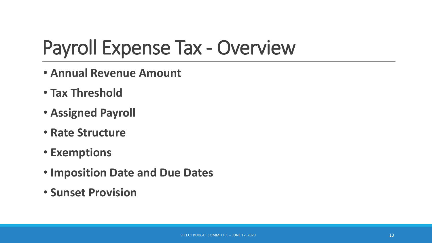#### Payroll Expense Tax - Overview

- **Annual Revenue Amount**
- **Tax Threshold**
- **Assigned Payroll**
- **Rate Structure**
- **Exemptions**
- **Imposition Date and Due Dates**
- **Sunset Provision**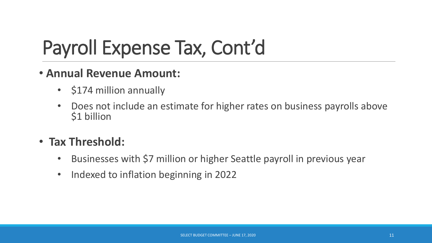- **Annual Revenue Amount:**
	- \$174 million annually
	- Does not include an estimate for higher rates on business payrolls above \$1 billion
- **Tax Threshold:**
	- Businesses with \$7 million or higher Seattle payroll in previous year
	- Indexed to inflation beginning in 2022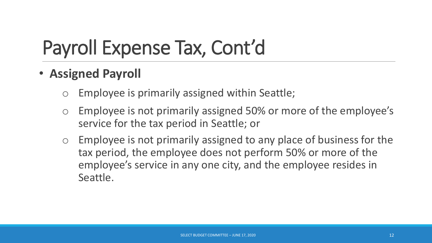- **Assigned Payroll**
	- Employee is primarily assigned within Seattle;
	- o Employee is not primarily assigned 50% or more of the employee's service for the tax period in Seattle; or
	- o Employee is not primarily assigned to any place of business for the tax period, the employee does not perform 50% or more of the employee's service in any one city, and the employee resides in Seattle.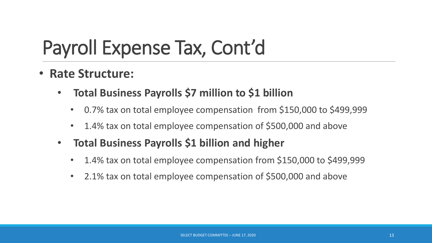- **Rate Structure:**
	- **Total Business Payrolls \$7 million to \$1 billion**
		- 0.7% tax on total employee compensation from \$150,000 to \$499,999
		- 1.4% tax on total employee compensation of \$500,000 and above
	- **Total Business Payrolls \$1 billion and higher**
		- 1.4% tax on total employee compensation from \$150,000 to \$499,999
		- 2.1% tax on total employee compensation of \$500,000 and above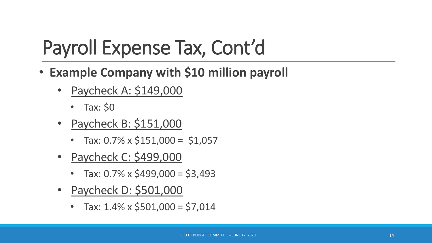- **Example Company with \$10 million payroll**
	- Paycheck A: \$149,000
		- Tax: \$0
	- Paycheck B: \$151,000
		- Tax:  $0.7\% \times \$151,000 = \$1,057$
	- Paycheck C: \$499,000
		- Tax:  $0.7\% \times $499,000 = $3,493$
	- Paycheck D: \$501,000
		- Tax:  $1.4\% \times $501,000 = $7,014$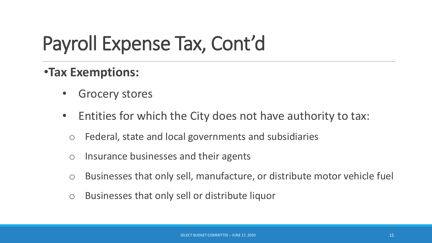#### •**Tax Exemptions:**

- **Grocery stores**
- Entities for which the City does not have authority to tax:
	- o Federal, state and local governments and subsidiaries
	- o Insurance businesses and their agents
	- o Businesses that only sell, manufacture, or distribute motor vehicle fuel
	- o Businesses that only sell or distribute liquor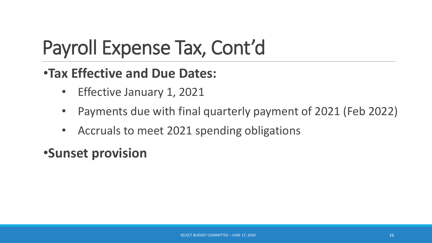#### •**Tax Effective and Due Dates:**

- Effective January 1, 2021
- Payments due with final quarterly payment of 2021 (Feb 2022)
- Accruals to meet 2021 spending obligations

#### •**Sunset provision**